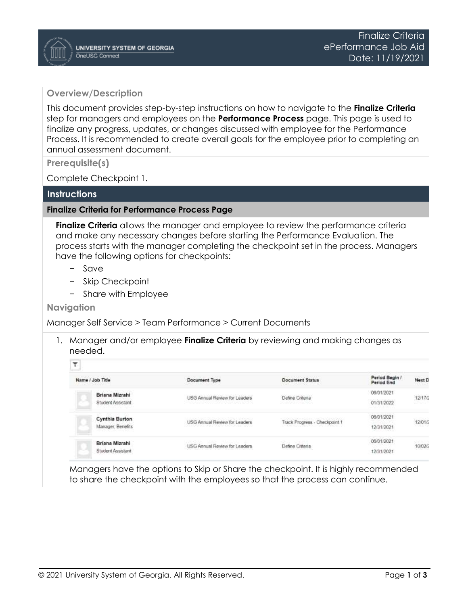## **Overview/Description**

This document provides step-by-step instructions on how to navigate to the **Finalize Criteria**  step for managers and employees on the **Performance Process** page. This page is used to finalize any progress, updates, or changes discussed with employee for the Performance Process. It is recommended to create overall goals for the employee prior to completing an annual assessment document.

**Prerequisite(s)**

Complete Checkpoint 1.

## **Instructions**

## **Finalize Criteria for Performance Process Page**

**Finalize Criteria** allows the manager and employee to review the performance criteria and make any necessary changes before starting the Performance Evaluation. The process starts with the manager completing the checkpoint set in the process. Managers have the following options for checkpoints:

- − Save
- − Skip Checkpoint
- − Share with Employee

## **Navigation**

Manager Self Service > Team Performance > Current Documents

1. Manager and/or employee **Finalize Criteria** by reviewing and making changes as needed.

| Name / Job Title  | Document Type                 | <b>Document Status</b>         | Period Begin /<br>Period End  | Next D            |
|-------------------|-------------------------------|--------------------------------|-------------------------------|-------------------|
| Briana Mizrahi    | USG Annual Review for Leaders | Define Criteria                | 06/01/2021                    | 12/17/2           |
| Student Assistant |                               | <b>DESCRIPTION OF PROPERTY</b> | 01/31/2022                    |                   |
| Cynthia Burton    | USG Annual Review for Leaders | Track Progress - Checkpoint 1  | 06/01/2021                    | 12/01/2           |
| Manager, Benefits |                               |                                | 12/31/2021<br>PRODUCT CARRIER |                   |
| Briana Mizrahi    | USG Annual Review for Leaders | Define Criteria                | 06/01/2021                    | 10,550<br>10/02/2 |
| Student Assistant |                               |                                | 12/31/2021                    |                   |

Managers have the options to Skip or Share the checkpoint. It is highly recommended to share the checkpoint with the employees so that the process can continue.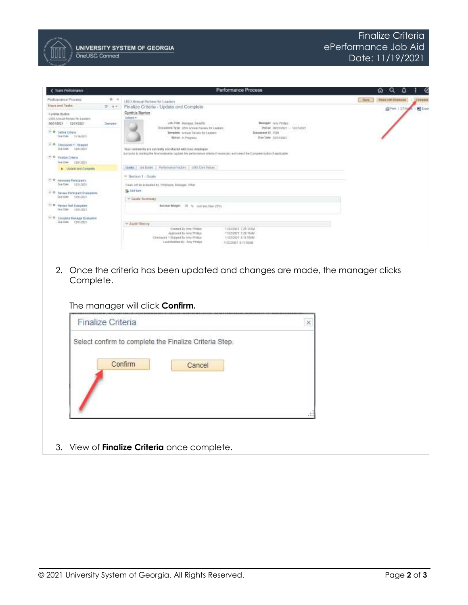

| Team Performance                                                                 |          | Performance Process                                                                                                                                                                                   | Q                                     |
|----------------------------------------------------------------------------------|----------|-------------------------------------------------------------------------------------------------------------------------------------------------------------------------------------------------------|---------------------------------------|
| Performánico Processi                                                            | $0 - 11$ | LISO Annual Review for Leaders                                                                                                                                                                        | <b>Diamonth Englo</b><br><b>Santa</b> |
| finess and Taxks:                                                                | ID (SB)  | Finalize Criteria - Update and Complete                                                                                                                                                               | <b>自fmt</b>   53<br><b>BY</b> Export  |
| <b>Cylifia Birlin</b><br>USS Alreal Revery Nr Lealers<br>06/01/2021 - 12/31/2821 | Overview | Cynthia Burton<br>Adam #<br>Job Title, Munager, Bandfitt,<br>Manager: Juny Protect.<br>Decisioned Type 1/5/2 Annual Reviser for Leaders<br>Period (6003/2121 - 52/21/2021)                            |                                       |
| A. D. Dalline Collens<br>Due Duke trendment                                      |          | Template - Annual Rayston for Leaders<br>Document (E) 1569<br>Due Date: 11/01/2821<br>Vities in Program.                                                                                              |                                       |
| 3. B. Checkport 1 - Strawell<br>Don Dally 10/01/2021                             |          | Your comments are currently not shared with your amployee.<br>Just prior to starting the final available a public the performance chluria if inconsisty and select the Companie fadbox it applicable. |                                       |
| 17. P. Finalize Criteria<br>Else (1986 12/0 1/2021)                              |          |                                                                                                                                                                                                       |                                       |
| <b>k</b> Lipbalk and Campete                                                     |          | Goals at Duine Partenairco Factors (893 Cora Volcan)                                                                                                                                                  |                                       |
| <b>CO</b> Hernald Participants<br>Due Dwin 13/31/2021                            |          | = Section 1 - Goale<br>Dasn off to evaluated by Employee, Manager, Chief                                                                                                                              |                                       |
| 大学<br>Reyew Participant Dystophone<br>Due thate 12/81/2014                       |          | Ski-Add form<br>10 Guard Sammary                                                                                                                                                                      |                                       |
| 4: 0 Haven Saf Evaluation<br>Due Date: 13/81/3021                                |          | Section Weight 25 % Use less Han 25%!                                                                                                                                                                 |                                       |
| $(1 - 1)$<br>Complete Miniager Evenation<br>Dua Daw: 1391/2021                   |          | * Audit History<br>Created By Airy Phillon<br>11/22/2021 7:23:17AM                                                                                                                                    |                                       |
|                                                                                  |          | Approved By Arris Philbox<br>TRAINING T 29 YEARS<br>Challgord 1 Slopped Ey Arty Philton<br>11/23/2021 & 11 55AM<br>Last Modried By July Phillips<br><b>FEITZCASTE IE FEISIARE</b>                     |                                       |
|                                                                                  |          |                                                                                                                                                                                                       |                                       |
| 2.                                                                               |          | Once the criteria has been updated and changes are made, the manager clicks                                                                                                                           |                                       |
|                                                                                  |          |                                                                                                                                                                                                       |                                       |
| Complete.                                                                        |          |                                                                                                                                                                                                       |                                       |

The manager will click **Confirm.**